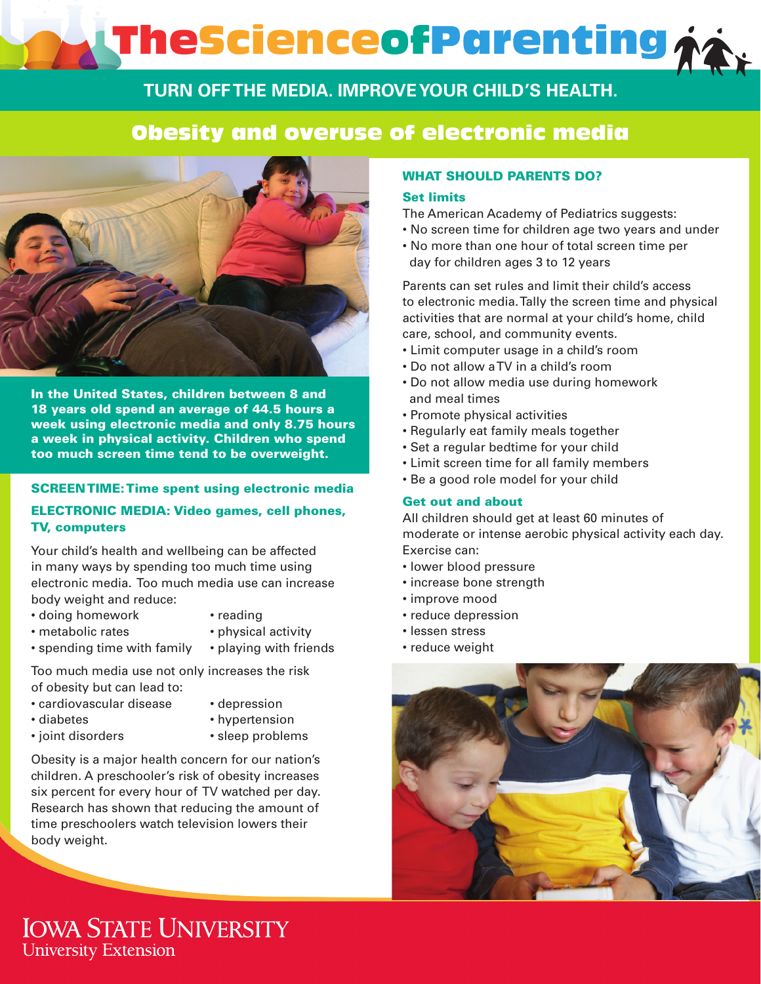# TheScienceofParenting

### **TURN OFF THE MEDIA. IMPROVE YOUR CHILD'S HEALTH.**

## Obesity and overuse of electronic media



In the United States, children between 8 and 18 years old spend an average of 44.5 hours a week using electronic media and only 8.75 hours a week in physical activity. Children who spend too much screen time tend to be overweight.

#### SCREEN TIME: Time spent using electronic media

#### ELECTRONIC MEDIA: Video games, cell phones, TV, computers

Your child's health and wellbeing can be affected in many ways by spending too much time using electronic media. Too much media use can increase body weight and reduce:

- doing homework reading
	-
- metabolic rates physical activity
- 
- spending time with family playing with friends
- -

Too much media use not only increases the risk of obesity but can lead to:

- cardiovascular disease depression
	-
	-
- diabetes hypertension
- joint disorders • sleep problems

Obesity is a major health concern for our nation's children. A preschooler's risk of obesity increases six percent for every hour of TV watched per day. Research has shown that reducing the amount of time preschoolers watch television lowers their body weight.

#### WHAT SHOULD PARENTS DO?

#### Set limits

The American Academy of Pediatrics suggests:

- No screen time for children age two years and under
- No more than one hour of total screen time per day for children ages 3 to 12 years

Parents can set rules and limit their child's access to electronic media. Tally the screen time and physical activities that are normal at your child's home, child care, school, and community events.

- Limit computer usage in a child's room
- Do not allow a TV in a child's room
- Do not allow media use during homework and meal times
- Promote physical activities
- Regularly eat family meals together
- Set a regular bedtime for your child
- Limit screen time for all family members
- Be a good role model for your child

#### Get out and about

All children should get at least 60 minutes of moderate or intense aerobic physical activity each day. Exercise can:

- lower blood pressure
- increase bone strength
- improve mood
- reduce depression
- lessen stress
- reduce weight



## **IOWA STATE UNIVERSITY University Extension**